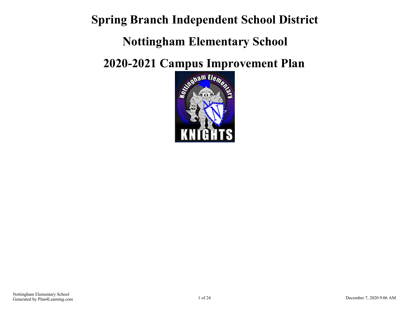**Spring Branch Independent School District**

## **Nottingham Elementary School**

**2020-2021 Campus Improvement Plan**

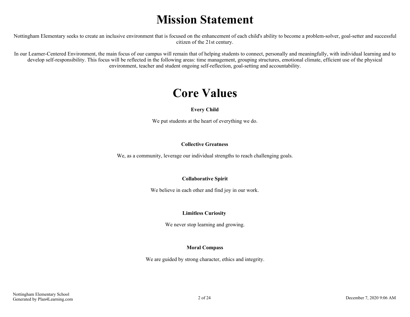## **Mission Statement**

Nottingham Elementary seeks to create an inclusive environment that is focused on the enhancement of each child's ability to become a problem-solver, goal-setter and successful citizen of the 21st century.

In our Learner-Centered Environment, the main focus of our campus will remain that of helping students to connect, personally and meaningfully, with individual learning and to develop self-responsibility. This focus will be reflected in the following areas: time management, grouping structures, emotional climate, efficient use of the physical environment, teacher and student ongoing self-reflection, goal-setting and accountability.

## **Core Values**

#### **Every Child**

We put students at the heart of everything we do.

#### **Collective Greatness**

We, as a community, leverage our individual strengths to reach challenging goals.

#### **Collaborative Spirit**

We believe in each other and find joy in our work.

#### **Limitless Curiosity**

We never stop learning and growing.

#### **Moral Compass**

We are guided by strong character, ethics and integrity.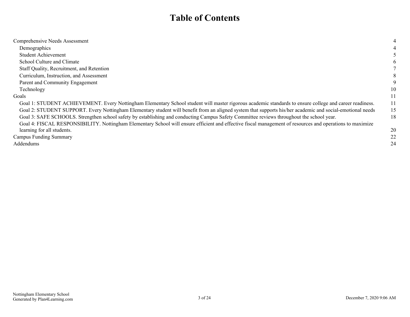## **Table of Contents**

| Comprehensive Needs Assessment                                                                                                                             |    |
|------------------------------------------------------------------------------------------------------------------------------------------------------------|----|
| Demographics                                                                                                                                               |    |
| <b>Student Achievement</b>                                                                                                                                 |    |
| School Culture and Climate                                                                                                                                 |    |
| Staff Quality, Recruitment, and Retention                                                                                                                  |    |
| Curriculum, Instruction, and Assessment                                                                                                                    | 8  |
| Parent and Community Engagement                                                                                                                            | 9  |
| Technology                                                                                                                                                 | 10 |
| Goals                                                                                                                                                      |    |
| Goal 1: STUDENT ACHIEVEMENT. Every Nottingham Elementary School student will master rigorous academic standards to ensure college and career readiness.    | 11 |
| Goal 2: STUDENT SUPPORT. Every Nottingham Elementary student will benefit from an aligned system that supports his/her academic and social-emotional needs | 15 |
| Goal 3: SAFE SCHOOLS. Strengthen school safety by establishing and conducting Campus Safety Committee reviews throughout the school year.                  | 18 |
| Goal 4: FISCAL RESPONSIBILITY. Nottingham Elementary School will ensure efficient and effective fiscal management of resources and operations to maximize  |    |
| learning for all students.                                                                                                                                 | 20 |
| Campus Funding Summary                                                                                                                                     | 22 |
| Addendums                                                                                                                                                  | 24 |
|                                                                                                                                                            |    |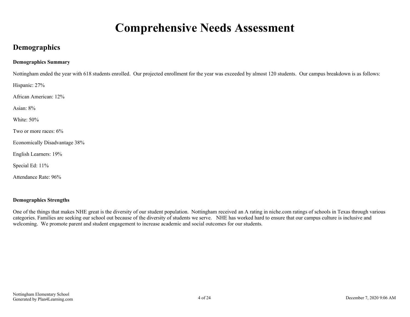## **Comprehensive Needs Assessment**

### <span id="page-3-0"></span>**Demographics**

#### **Demographics Summary**

Nottingham ended the year with 618 students enrolled. Our projected enrollment for the year was exceeded by almost 120 students. Our campus breakdown is as follows:

Hispanic: 27%

African American: 12%

Asian: 8%

White: 50%

Two or more races: 6%

Economically Disadvantage 38%

English Learners: 19%

Special Ed: 11%

Attendance Rate: 96%

#### **Demographics Strengths**

One of the things that makes NHE great is the diversity of our student population. Nottingham received an A rating in niche.com ratings of schools in Texas through various categories. Families are seeking our school out because of the diversity of students we serve. NHE has worked hard to ensure that our campus culture is inclusive and welcoming. We promote parent and student engagement to increase academic and social outcomes for our students.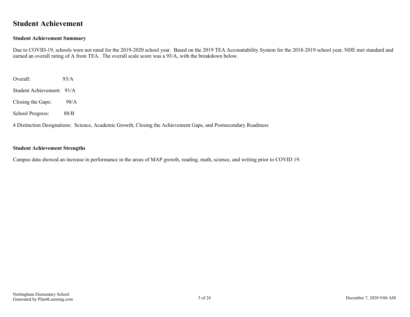### <span id="page-4-0"></span>**Student Achievement**

#### **Student Achievement Summary**

Due to COVID-19, schools were not rated for the 2019-2020 school year. Based on the 2019 TEA Accountability System for the 2018-2019 school year, NHE met standard and earned an overall rating of A from TEA. The overall scale score was a 93/A, with the breakdown below.

Overall: 93/A

Student Achievement: 91/A

Closing the Gaps: 98/A

School Progress: 88/B

4 Distinction Designations: Science, Academic Growth, Closing the Achievement Gaps, and Postsecondary Readiness

#### **Student Achievement Strengths**

Campus data showed an increase in performance in the areas of MAP growth, reading, math, science, and writing prior to COVID 19.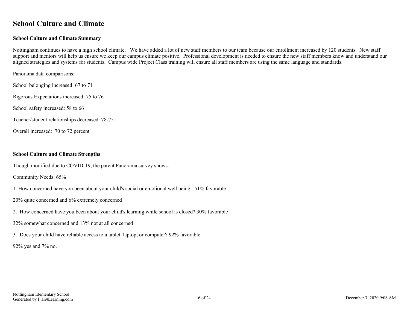### <span id="page-5-0"></span>**School Culture and Climate**

#### **School Culture and Climate Summary**

Nottingham continues to have a high school climate. We have added a lot of new staff members to our team because our enrollment increased by 120 students. New staff support and mentors will help us ensure we keep our campus climate positive. Professional development is needed to ensure the new staff members know and understand our aligned strategies and systems for students. Campus wide Project Class training will ensure all staff members are using the same language and standards.

Panorama data comparisons:

School belonging increased: 67 to 71

Rigorous Expectations increased: 75 to 76

School safety increased: 58 to 66

Teacher/student relationships decreased: 78-75

Overall increased: 70 to 72 percent

#### **School Culture and Climate Strengths**

Though modified due to COVID-19, the parent Panorama survey shows:

Community Needs: 65%

1. How concerned have you been about your child's social or emotional well being: 51% favorable

20% quite concerned and 6% extremely concerned

2. How concerned have you been about your child's learning while school is closed? 30% favorable

32% somewhat concerned and 13% not at all concerned

3. Does your child have reliable access to a tablet, laptop, or computer? 92% favorable

92% yes and 7% no.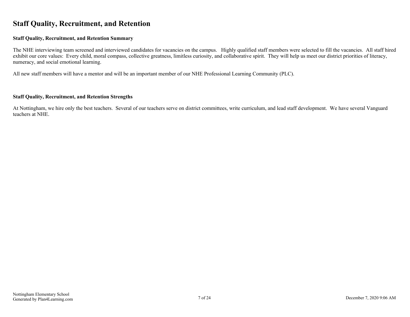### <span id="page-6-0"></span>**Staff Quality, Recruitment, and Retention**

#### **Staff Quality, Recruitment, and Retention Summary**

The NHE interviewing team screened and interviewed candidates for vacancies on the campus. Highly qualified staff members were selected to fill the vacancies. All staff hired exhibit our core values: Every child, moral compass, collective greatness, limitless curiosity, and collaborative spirit. They will help us meet our district priorities of literacy, numeracy, and social emotional learning.

All new staff members will have a mentor and will be an important member of our NHE Professional Learning Community (PLC).

#### **Staff Quality, Recruitment, and Retention Strengths**

At Nottingham, we hire only the best teachers. Several of our teachers serve on district committees, write curriculum, and lead staff development. We have several Vanguard teachers at NHE.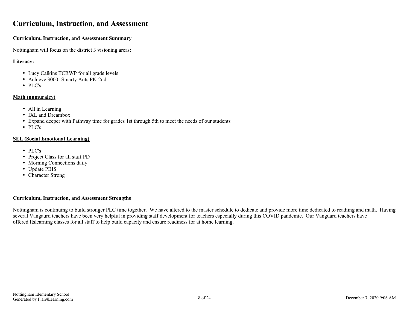### <span id="page-7-0"></span>**Curriculum, Instruction, and Assessment**

#### **Curriculum, Instruction, and Assessment Summary**

Nottingham will focus on the district 3 visioning areas:

#### **Literacy:**

- Lucy Calkins TCRWP for all grade levels
- Achieve 3000- Smarty Ants PK-2nd
- PLC's

#### **Math (numuralcy)**

- All in Learning
- IXL and Dreambox
- Expand deeper with Pathway time for grades 1st through 5th to meet the needs of our students
- PLC's

#### **SEL (Social Emotional Learning)**

- PLC's
- Project Class for all staff PD
- Morning Connections daily
- Update PBIS
- Character Strong

#### **Curriculum, Instruction, and Assessment Strengths**

Nottingham is continuing to build stronger PLC time together. We have altered to the master schedule to dedicate and provide more time dedicated to readiing and math. Having several Vangaurd teachers have been very helpful in providing staff development for teachers especially during this COVID pandemic. Our Vanguard teachers have offered Itslearning classes for all staff to help build capacity and ensure readiness for at home learning.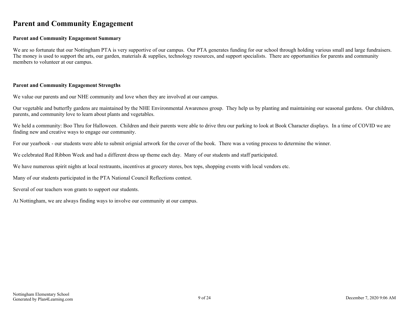### <span id="page-8-0"></span>**Parent and Community Engagement**

#### **Parent and Community Engagement Summary**

We are so fortunate that our Nottingham PTA is very supportive of our campus. Our PTA generates funding for our school through holding various small and large fundraisers. The money is used to support the arts, our garden, materials  $\&$  supplies, technology resources, and support specialists. There are opportunities for parents and community members to volunteer at our campus.

#### **Parent and Community Engagement Strengths**

We value our parents and our NHE community and love when they are involved at our campus.

Our vegetable and butterfly gardens are maintained by the NHE Environmental Awareness group. They help us by planting and maintaining our seasonal gardens. Our children, parents, and community love to learn about plants and vegetables.

We held a community: Boo Thru for Halloween. Children and their parents were able to drive thru our parking to look at Book Character displays. In a time of COVID we are finding new and creative ways to engage our community.

For our yearbook - our students were able to submit orignial artwork for the cover of the book. There was a voting process to determine the winner.

We celebrated Red Ribbon Week and had a different dress up theme each day. Many of our students and staff participated.

We have numerous spirit nights at local restraunts, incentives at grocery stores, box tops, shopping events with local vendors etc.

Many of our students participated in the PTA National Council Reflections contest.

Several of our teachers won grants to support our students.

At Nottingham, we are always finding ways to involve our community at our campus.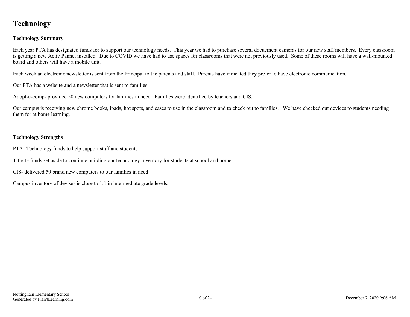### <span id="page-9-0"></span>**Technology**

#### **Technology Summary**

Each year PTA has designated funds for to support our technology needs. This year we had to purchase several docuement cameras for our new staff members. Every classroom is getting a new Activ Pannel installed. Due to COVID we have had to use spaces for classrooms that were not previously used. Some of these rooms will have a wall-mounted board and others will have a mobile unit.

Each week an electronic newsletter is sent from the Principal to the parents and staff. Parents have indicated they prefer to have electronic communication.

Our PTA has a website and a newsletter that is sent to families.

Adopt-u-comp- provided 50 new computers for families in need. Families were identified by teachers and CIS.

Our campus is receiving new chrome books, ipads, hot spots, and cases to use in the classroom and to check out to families. We have checked out devices to students needing them for at home learning.

#### **Technology Strengths**

PTA- Technology funds to help support staff and students

Title 1- funds set aside to continue building our technology inventory for students at school and home

CIS- delivered 50 brand new computers to our families in need

Campus inventory of devises is close to 1:1 in intermediate grade levels.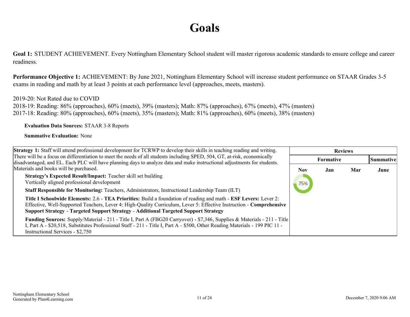## **Goals**

<span id="page-10-0"></span>**Goal 1:** STUDENT ACHIEVEMENT. Every Nottingham Elementary School student will master rigorous academic standards to ensure college and career readiness.

**Performance Objective 1:** ACHIEVEMENT: By June 2021, Nottingham Elementary School will increase student performance on STAAR Grades 3-5 exams in reading and math by at least 3 points at each performance level (approaches, meets, masters).

#### 2019-20: Not Rated due to COVID

2018-19: Reading: 86% (approaches), 60% (meets), 39% (masters); Math: 87% (approaches), 67% (meets), 47% (masters) 2017-18: Reading: 80% (approaches), 60% (meets), 35% (masters); Math: 81% (approaches), 60% (meets), 38% (masters)

**Evaluation Data Sources:** STAAR 3-8 Reports

| <b>Strategy 1:</b> Staff will attend professional development for TCRWP to develop their skills in teaching reading and writing.                                                                                                                                                                                                       |     | <b>Reviews</b>   |     |                  |
|----------------------------------------------------------------------------------------------------------------------------------------------------------------------------------------------------------------------------------------------------------------------------------------------------------------------------------------|-----|------------------|-----|------------------|
| There will be a focus on differentiation to meet the needs of all students including SPED, 504, GT, at-risk, economically                                                                                                                                                                                                              |     | <b>Formative</b> |     | <b>Summative</b> |
| disadvantaged, and EL. Each PLC will have planning days to analyze data and make instructional adjustments for students.<br>Materials and books will be purchased.                                                                                                                                                                     | Nov | Jan              | Mar | June             |
| <b>Strategy's Expected Result/Impact:</b> Teacher skill set building<br>Vertically aligned professional development                                                                                                                                                                                                                    | 75% |                  |     |                  |
| <b>Staff Responsible for Monitoring:</b> Teachers, Administrators, Instructional Leadership Team (ILT)                                                                                                                                                                                                                                 |     |                  |     |                  |
| Title I Schoolwide Elements: 2.6 - TEA Priorities: Build a foundation of reading and math - ESF Levers: Lever 2:<br>Effective, Well-Supported Teachers, Lever 4: High-Quality Curriculum, Lever 5: Effective Instruction - Comprehensive<br><b>Support Strategy - Targeted Support Strategy - Additional Targeted Support Strategy</b> |     |                  |     |                  |
| <b>Funding Sources:</b> Supply/Material - 211 - Title I, Part A (FBG20 Carryover) - \$7,346, Supplies & Materials - 211 - Title<br>I, Part A - \$20,518, Substitutes Professional Staff - 211 - Title I, Part A - \$500, Other Reading Materials - 199 PIC 11 -<br>Instructional Services - \$2,750                                    |     |                  |     |                  |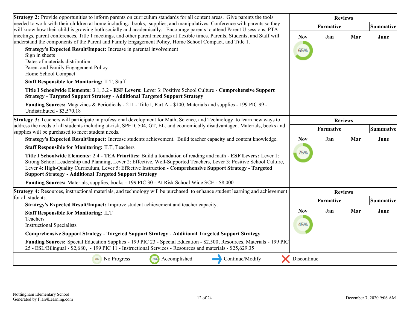| <b>Strategy 2:</b> Provide opportunities to inform parents on curriculum standards for all content areas. Give parents the tools                                                                                                                                                                                                                                                                                                    |                   | <b>Reviews</b> |     |           |
|-------------------------------------------------------------------------------------------------------------------------------------------------------------------------------------------------------------------------------------------------------------------------------------------------------------------------------------------------------------------------------------------------------------------------------------|-------------------|----------------|-----|-----------|
| needed to work with their children at home including: books, supplies, and manipulatives. Conference with parents so they<br>will know how their child is growing both socially and academically. Encourage parents to attend Parent U sessions, PTA                                                                                                                                                                                |                   | Formative      |     | Summative |
| meetings, parent conferences, Title 1 meetings, and other parent meetings at flexible times. Parents, Students, and Staff will<br>understand the components of the Parent and Family Engagement Policy, Home School Compact, and Title 1.<br>Strategy's Expected Result/Impact: Increase in parental involvement<br>Sign in sheets<br>Dates of materials distribution<br>Parent and Family Engagement Policy<br>Home School Compact | <b>Nov</b><br>65% | Jan            | Mar | June      |
| <b>Staff Responsible for Monitoring: ILT, Staff</b>                                                                                                                                                                                                                                                                                                                                                                                 |                   |                |     |           |
| Title I Schoolwide Elements: 3.1, 3.2 - ESF Levers: Lever 3: Positive School Culture - Comprehensive Support<br><b>Strategy - Targeted Support Strategy - Additional Targeted Support Strategy</b>                                                                                                                                                                                                                                  |                   |                |     |           |
| Funding Sources: Magazines & Periodicals - 211 - Title I, Part A - \$100, Materials and supplies - 199 PIC 99 -<br>Undistributed - \$3,570.18                                                                                                                                                                                                                                                                                       |                   |                |     |           |
| Strategy 3: Teachers will participate in professional development for Math, Science, and Technology to learn new ways to                                                                                                                                                                                                                                                                                                            | <b>Reviews</b>    |                |     |           |
| address the needs of all students including at-risk, SPED, 504, GT, EL, and economically disadvantaged. Materials, books and<br>supplies will be purchased to meet student needs.                                                                                                                                                                                                                                                   | Formative         |                |     | Summative |
| Strategy's Expected Result/Impact: Increase students achievement. Build teacher capacity and content knowledge.                                                                                                                                                                                                                                                                                                                     | <b>Nov</b>        | Jan            | Mar | June      |
| <b>Staff Responsible for Monitoring: ILT, Teachers</b>                                                                                                                                                                                                                                                                                                                                                                              |                   |                |     |           |
| Title I Schoolwide Elements: 2.4 - TEA Priorities: Build a foundation of reading and math - ESF Levers: Lever 1:<br>Strong School Leadership and Planning, Lever 2: Effective, Well-Supported Teachers, Lever 3: Positive School Culture,<br>Lever 4: High-Quality Curriculum, Lever 5: Effective Instruction - Comprehensive Support Strategy - Targeted<br><b>Support Strategy - Additional Targeted Support Strategy</b>         | 75%               |                |     |           |
| <b>Funding Sources:</b> Materials, supplies, books - 199 PIC 30 - At Risk School Wide SCE - \$8,000                                                                                                                                                                                                                                                                                                                                 |                   |                |     |           |
| <b>Strategy 4:</b> Resources, instructional materials, and technology will be purchased to enhance student learning and achievement                                                                                                                                                                                                                                                                                                 |                   | <b>Reviews</b> |     |           |
| for all students.<br>Strategy's Expected Result/Impact: Improve student achievement and teacher capacity.                                                                                                                                                                                                                                                                                                                           |                   | Formative      |     | Summative |
| <b>Staff Responsible for Monitoring: ILT</b>                                                                                                                                                                                                                                                                                                                                                                                        | <b>Nov</b>        | Jan            | Mar | June      |
| Teachers<br><b>Instructional Specialists</b>                                                                                                                                                                                                                                                                                                                                                                                        | 45%               |                |     |           |
| <b>Comprehensive Support Strategy - Targeted Support Strategy - Additional Targeted Support Strategy</b>                                                                                                                                                                                                                                                                                                                            |                   |                |     |           |
| Funding Sources: Special Education Supplies - 199 PIC 23 - Special Education - \$2,500, Resources, Materials - 199 PIC<br>25 - ESL/Bilingual - \$2,680, - 199 PIC 11 - Instructional Services - Resources and materials - \$25,629.35                                                                                                                                                                                               |                   |                |     |           |
| <sup>0%</sup> No Progress<br>Accomplished<br>Continue/Modify<br>100%                                                                                                                                                                                                                                                                                                                                                                | Discontinue       |                |     |           |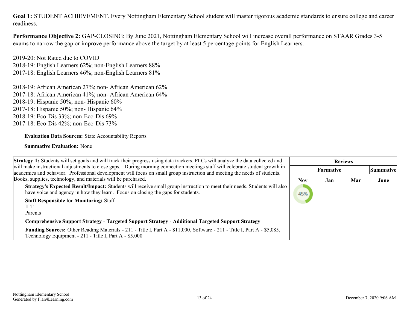**Goal 1:** STUDENT ACHIEVEMENT. Every Nottingham Elementary School student will master rigorous academic standards to ensure college and career readiness.

**Performance Objective 2:** GAP-CLOSING: By June 2021, Nottingham Elementary School will increase overall performance on STAAR Grades 3-5 exams to narrow the gap or improve performance above the target by at least 5 percentage points for English Learners.

2019-20: Not Rated due to COVID 2018-19: English Learners 62%; non-English Learners 88% 2017-18: English Learners 46%; non-English Learners 81%

2018-19: African American 27%; non- African American 62% 2017-18: African American 41%; non- African American 64% 2018-19: Hispanic 50%; non- Hispanic 60% 2017-18: Hispanic 50%; non- Hispanic 64% 2018-19: Eco-Dis 33%; non-Eco-Dis 69% 2017-18: Eco-Dis 42%; non-Eco-Dis 73%

#### **Evaluation Data Sources:** State Accountability Reports

| <b>Strategy 1:</b> Students will set goals and will track their progress using data trackers. PLCs will analyze the data collected and                                                                                                                    |            | <b>Reviews</b>   |     |                  |
|-----------------------------------------------------------------------------------------------------------------------------------------------------------------------------------------------------------------------------------------------------------|------------|------------------|-----|------------------|
| will make instructional adjustments to close gaps. During morning connection meetings staff will celebrate student growth in<br>academics and behavior. Professional development will focus on small group instruction and meeting the needs of students. |            | <b>Formative</b> |     | <b>Summative</b> |
| Books, supplies, technology, and materials will be purchased.                                                                                                                                                                                             | <b>Nov</b> | Jan              | Mar | June             |
| <b>Strategy's Expected Result/Impact:</b> Students will receive small group instruction to meet their needs. Students will also<br>have voice and agency in how they learn. Focus on closing the gaps for students.                                       | 45%        |                  |     |                  |
| <b>Staff Responsible for Monitoring: Staff</b><br>ШT                                                                                                                                                                                                      |            |                  |     |                  |
| Parents                                                                                                                                                                                                                                                   |            |                  |     |                  |
| <b>Comprehensive Support Strategy - Targeted Support Strategy - Additional Targeted Support Strategy</b>                                                                                                                                                  |            |                  |     |                  |
| <b>Funding Sources:</b> Other Reading Materials - 211 - Title I, Part A - \$11,000, Software - 211 - Title I, Part A - \$5,085,<br>Technology Equipment - 211 - Title I, Part A - \$5,000                                                                 |            |                  |     |                  |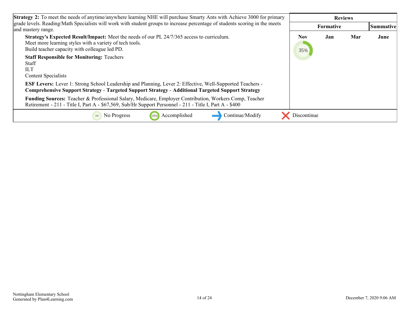| <b>Strategy 2:</b> To meet the needs of anytime/anywhere learning NHE will purchase Smarty Ants with Achieve 3000 for primary                                                                                                |             | <b>Reviews</b>   |     |           |  |
|------------------------------------------------------------------------------------------------------------------------------------------------------------------------------------------------------------------------------|-------------|------------------|-----|-----------|--|
| grade levels. Reading/Math Specialists will work with student groups to increase percentage of students scoring in the meets<br>and mastery range.                                                                           |             | <b>Formative</b> |     | Summative |  |
| Strategy's Expected Result/Impact: Meet the needs of our PL 24/7/365 access to curriculum.<br>Meet more learning styles with a variety of tech tools.<br>Build teacher capacity with colleague led PD.                       | Nov<br>35%  | Jan              | Mar | June      |  |
| <b>Staff Responsible for Monitoring: Teachers</b><br><b>Staff</b><br><b>ILT</b><br><b>Content Specialists</b>                                                                                                                |             |                  |     |           |  |
| <b>ESF Levers:</b> Lever 1: Strong School Leadership and Planning, Lever 2: Effective, Well-Supported Teachers -<br><b>Comprehensive Support Strategy - Targeted Support Strategy - Additional Targeted Support Strategy</b> |             |                  |     |           |  |
| Funding Sources: Teacher & Professional Salary, Medicare, Employer Contribution, Workers Comp, Teacher<br>Retirement - 211 - Title I, Part A - \$67,569, Sub/Hr Support Personnel - 211 - Title I, Part A - \$400            |             |                  |     |           |  |
| Accomplished<br>Continue/Modify<br>No Progress<br>100%<br>0%                                                                                                                                                                 | Discontinue |                  |     |           |  |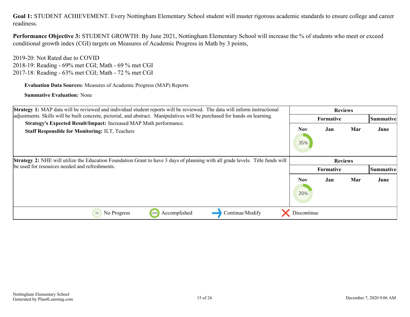**Goal 1:** STUDENT ACHIEVEMENT. Every Nottingham Elementary School student will master rigorous academic standards to ensure college and career readiness.

**Performance Objective 3:** STUDENT GROWTH: By June 2021, Nottingham Elementary School will increase the % of students who meet or exceed conditional growth index (CGI) targets on Measures of Academic Progress in Math by 3 points,

2019-20: Not Rated due to COVID 2018-19: Reading - 69% met CGI; Math - 69 % met CGI 2017-18: Reading - 63% met CGI; Math - 72 % met CGI

**Evaluation Data Sources:** Measures of Academic Progress (MAP) Reports

| <b>Strategy 1:</b> MAP data will be reviewed and individual student reports will be reviewed. The data will inform instructional      |                   | <b>Reviews</b>   |     |           |
|---------------------------------------------------------------------------------------------------------------------------------------|-------------------|------------------|-----|-----------|
| adjustments. Skills will be built concrete, pictorial, and abstract. Manipulatives will be purchased for hands on learning.           |                   | <b>Formative</b> |     | Summative |
| Strategy's Expected Result/Impact: Increased MAP Math performance.<br><b>Staff Responsible for Monitoring: ILT, Teachers</b>          | Nov<br>35%        | Jan              | Mar | June      |
| <b>Strategy 2:</b> NHE will utilize the Education Foundation Grant to have 3 days of planning with all grade levels. Title funds will |                   | <b>Reviews</b>   |     |           |
| be used for resources needed and refreshments.                                                                                        |                   | <b>Formative</b> |     | Summative |
|                                                                                                                                       | <b>Nov</b><br>20% | Jan              | Mar | June      |
| Accomplished<br>Continue/Modify<br>No Progress<br>100%<br>0%                                                                          | Discontinue       |                  |     |           |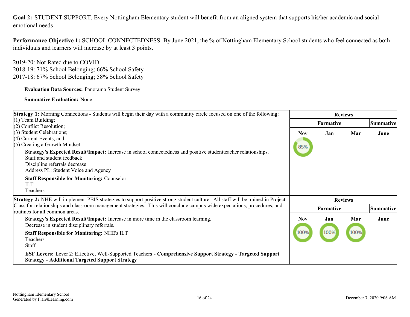<span id="page-15-0"></span>**Goal 2:** STUDENT SUPPORT. Every Nottingham Elementary student will benefit from an aligned system that supports his/her academic and socialemotional needs

**Performance Objective 1:** SCHOOL CONNECTEDNESS: By June 2021, the % of Nottingham Elementary School students who feel connected as both individuals and learners will increase by at least 3 points.

2019-20: Not Rated due to COVID 2018-19: 71% School Belonging; 66% School Safety 2017-18: 67% School Belonging; 58% School Safety

**Evaluation Data Sources:** Panorama Student Survey

| <b>Strategy 1:</b> Morning Connections - Students will begin their day with a community circle focused on one of the following:                                                                                        | <b>Reviews</b> |           |                |           |
|------------------------------------------------------------------------------------------------------------------------------------------------------------------------------------------------------------------------|----------------|-----------|----------------|-----------|
| $(1)$ Team Building;                                                                                                                                                                                                   |                | Formative |                | Summative |
| $(2)$ Conflict Resolution;                                                                                                                                                                                             |                |           |                |           |
| $(3)$ Student Celebrations;                                                                                                                                                                                            | <b>Nov</b>     | Jan       | Mar            | June      |
| $(4)$ Current Events; and<br>$(5)$ Creating a Growth Mindset                                                                                                                                                           |                |           |                |           |
| Strategy's Expected Result/Impact: Increase in school connectedness and positive student teacher relationships.<br>Staff and student feedback<br>Discipline referrals decrease<br>Address PL: Student Voice and Agency | 85%            |           |                |           |
| <b>Staff Responsible for Monitoring: Counselor</b><br><b>ILT</b><br><b>Teachers</b>                                                                                                                                    |                |           |                |           |
| <b>Strategy 2:</b> NHE will implement PBIS strategies to support positive strong student culture. All staff will be trained in Project                                                                                 |                |           | <b>Reviews</b> |           |
| Class for relationships and classroom management strategies. This will conclude campus wide expectations, procedures, and<br>routines for all common areas.                                                            |                | Formative |                | Summative |
| Strategy's Expected Result/Impact: Increase in more time in the classroom learning.<br>Decrease in student disciplinary referrals.                                                                                     | <b>Nov</b>     | Jan       | Mar            | June      |
| <b>Staff Responsible for Monitoring: NHE's ILT</b><br>Teachers<br>Staff                                                                                                                                                | 100%           | 100%      | 100%           |           |
| <b>ESF Levers:</b> Lever 2: Effective, Well-Supported Teachers - Comprehensive Support Strategy - Targeted Support<br><b>Strategy - Additional Targeted Support Strategy</b>                                           |                |           |                |           |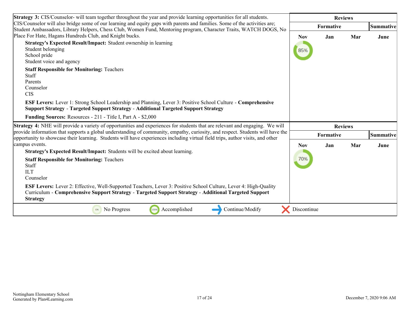| <b>Strategy 3:</b> CIS/Counselor- will team together throughout the year and provide learning opportunities for all students.                                                                                                                                    |             | <b>Reviews</b> |     |           |
|------------------------------------------------------------------------------------------------------------------------------------------------------------------------------------------------------------------------------------------------------------------|-------------|----------------|-----|-----------|
| CIS/Counselor will also bridge some of our learning and equity gaps with parents and families. Some of the activities are;<br>Student Ambassadors, Library Helpers, Chess Club, Women Fund, Mentoring program, Character Traits, WATCH DOGS, No                  |             | Formative      |     | Summative |
| Place For Hate, Hagans Hundreds Club, and Knight bucks.                                                                                                                                                                                                          | <b>Nov</b>  | Jan            | Mar | June      |
| Strategy's Expected Result/Impact: Student ownership in learning<br>Student belonging<br>School pride<br>Student voice and agency                                                                                                                                | 85%         |                |     |           |
| <b>Staff Responsible for Monitoring: Teachers</b><br><b>Staff</b><br>Parents<br>Counselor<br><b>CIS</b>                                                                                                                                                          |             |                |     |           |
| <b>ESF Levers:</b> Lever 1: Strong School Leadership and Planning, Lever 3: Positive School Culture - Comprehensive<br><b>Support Strategy - Targeted Support Strategy - Additional Targeted Support Strategy</b>                                                |             |                |     |           |
| Funding Sources: Resources - 211 - Title I, Part A - \$2,000                                                                                                                                                                                                     |             |                |     |           |
| <b>Strategy 4:</b> NHE will provide a variety of opportunities and experiences for students that are relevant and engaging. We will                                                                                                                              |             | <b>Reviews</b> |     |           |
| provide information that supports a global understanding of community, empathy, curiosity, and respect. Students will have the<br>opportunity to showcase their learning. Students will have experiences including virtual field trips, author visits, and other |             | Formative      |     | Summative |
| campus events.                                                                                                                                                                                                                                                   | <b>Nov</b>  | Jan            | Mar | June      |
| Strategy's Expected Result/Impact: Students will be excited about learning.                                                                                                                                                                                      |             |                |     |           |
| <b>Staff Responsible for Monitoring: Teachers</b><br>Staff<br><b>ILT</b><br>Counselor                                                                                                                                                                            | 70%         |                |     |           |
| ESF Levers: Lever 2: Effective, Well-Supported Teachers, Lever 3: Positive School Culture, Lever 4: High-Quality<br>Curriculum - Comprehensive Support Strategy - Targeted Support Strategy - Additional Targeted Support<br><b>Strategy</b>                     |             |                |     |           |
| 100%<br>No Progress<br>Accomplished<br>Continue/Modify<br>0%                                                                                                                                                                                                     | Discontinue |                |     |           |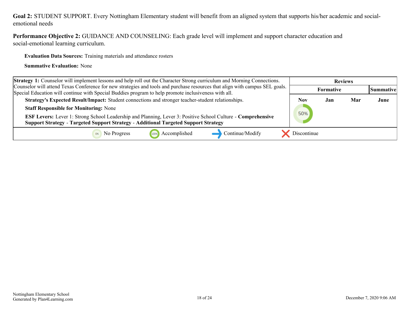#### **Goal 2:** STUDENT SUPPORT. Every Nottingham Elementary student will benefit from an aligned system that supports his/her academic and socialemotional needs

**Performance Objective 2:** GUIDANCE AND COUNSELING: Each grade level will implement and support character education and social-emotional learning curriculum.

**Evaluation Data Sources:** Training materials and attendance rosters

| <b>Strategy 1:</b> Counselor will implement lessons and help roll out the Character Strong curriculum and Morning Connections.                                                                                                       |             | <b>Reviews</b> |     |                  |
|--------------------------------------------------------------------------------------------------------------------------------------------------------------------------------------------------------------------------------------|-------------|----------------|-----|------------------|
| Counselor will attend Texas Conference for new strategies and tools and purchase resources that align with campus SEL goals.<br>Special Education will continue with Special Buddies program to help promote inclusiveness with all. |             | Formative      |     | <b>Summative</b> |
| Strategy's Expected Result/Impact: Student connections and stronger teacher-student relationships.                                                                                                                                   | Nov         | Jan            | Mar | June             |
| <b>Staff Responsible for Monitoring: None</b>                                                                                                                                                                                        |             |                |     |                  |
| ESF Levers: Lever 1: Strong School Leadership and Planning, Lever 3: Positive School Culture - Comprehensive<br><b>Support Strategy - Targeted Support Strategy - Additional Targeted Support Strategy</b>                           | 50%         |                |     |                  |
| Continue/Modify<br>Accomplished<br>No Progress<br>100%                                                                                                                                                                               | Discontinue |                |     |                  |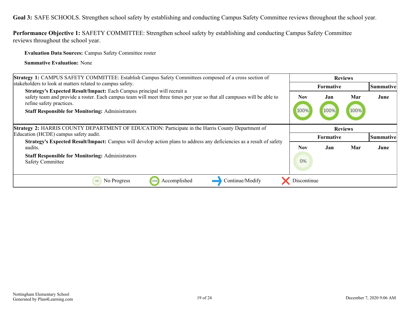<span id="page-18-0"></span>**Goal 3:** SAFE SCHOOLS. Strengthen school safety by establishing and conducting Campus Safety Committee reviews throughout the school year.

**Performance Objective 1:** SAFETY COMMITTEE: Strengthen school safety by establishing and conducting Campus Safety Committee reviews throughout the school year.

**Evaluation Data Sources:** Campus Safety Committee roster

| Strategy 1: CAMPUS SAFETY COMMITTEE: Establish Campus Safety Committees composed of a cross section of                                                                                                                                                                                   |              | <b>Reviews</b>   |             |           |
|------------------------------------------------------------------------------------------------------------------------------------------------------------------------------------------------------------------------------------------------------------------------------------------|--------------|------------------|-------------|-----------|
| stakeholders to look at matters related to campus safety.                                                                                                                                                                                                                                |              | <b>Formative</b> |             | Summative |
| Strategy's Expected Result/Impact: Each Campus principal will recruit a<br>safety team and provide a roster. Each campus team will meet three times per year so that all campuses will be able to<br>refine safety practices.<br><b>Staff Responsible for Monitoring: Administrators</b> | Nov.<br>100% | Jan<br>100%      | Mar<br>100% | June      |
| <b>Strategy 2: HARRIS COUNTY DEPARTMENT OF EDUCATION: Participate in the Harris County Department of</b>                                                                                                                                                                                 |              | <b>Reviews</b>   |             |           |
| Education (HCDE) campus safety audit.                                                                                                                                                                                                                                                    |              | <b>Formative</b> |             | Summative |
| Strategy's Expected Result/Impact: Campus will develop action plans to address any deficiencies as a result of safety<br>audits.                                                                                                                                                         | Nov          | Jan              | Mar         | June      |
| <b>Staff Responsible for Monitoring: Administrators</b><br><b>Safety Committee</b>                                                                                                                                                                                                       | 0%           |                  |             |           |
| Continue/Modify<br>No Progress<br>Accomplished<br>0%<br>100%                                                                                                                                                                                                                             | Discontinue  |                  |             |           |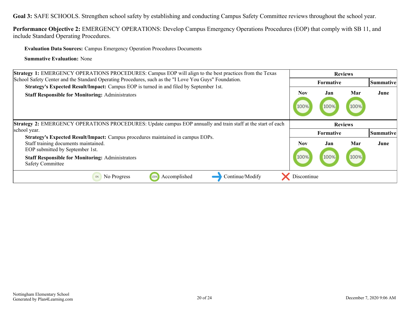**Goal 3:** SAFE SCHOOLS. Strengthen school safety by establishing and conducting Campus Safety Committee reviews throughout the school year.

**Performance Objective 2:** EMERGENCY OPERATIONS: Develop Campus Emergency Operations Procedures (EOP) that comply with SB 11, and include Standard Operating Procedures.

**Evaluation Data Sources:** Campus Emergency Operation Procedures Documents

| <b>Strategy 1:</b> EMERGENCY OPERATIONS PROCEDURES: Campus EOP will align to the best practices from the Texas                                                                                                        |              | <b>Reviews</b>   |                |           |
|-----------------------------------------------------------------------------------------------------------------------------------------------------------------------------------------------------------------------|--------------|------------------|----------------|-----------|
| School Safety Center and the Standard Operating Procedures, such as the "I Love You Guys" Foundation.                                                                                                                 |              | <b>Formative</b> |                | Summative |
| <b>Strategy's Expected Result/Impact:</b> Campus EOP is turned in and filed by September 1st.<br><b>Staff Responsible for Monitoring: Administrators</b>                                                              | Nov.<br>100% | Jan<br>100%      | Mar<br>100%    | June      |
| Strategy 2: EMERGENCY OPERATIONS PROCEDURES: Update campus EOP annually and train staff at the start of each<br>school year.                                                                                          |              | <b>Formative</b> | <b>Reviews</b> | Summative |
| Strategy's Expected Result/Impact: Campus procedures maintained in campus EOPs.<br>Staff training documents maintained.<br>EOP submitted by September 1st.<br><b>Staff Responsible for Monitoring: Administrators</b> | Nov<br>100%  | Jan<br>100%      | Mar<br>100%    | June      |
| <b>Safety Committee</b>                                                                                                                                                                                               |              |                  |                |           |
| No Progress<br>Accomplished<br>Continue/Modify<br>0%<br>100%                                                                                                                                                          | Discontinue  |                  |                |           |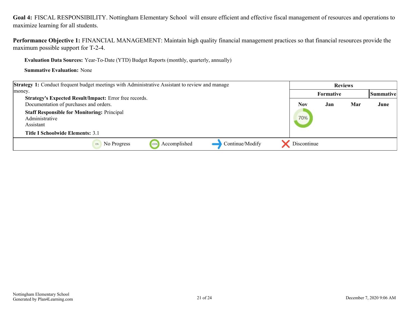<span id="page-20-0"></span>**Goal 4:** FISCAL RESPONSIBILITY. Nottingham Elementary School will ensure efficient and effective fiscal management of resources and operations to maximize learning for all students.

**Performance Objective 1:** FINANCIAL MANAGEMENT: Maintain high quality financial management practices so that financial resources provide the maximum possible support for T-2-4.

**Evaluation Data Sources:** Year-To-Date (YTD) Budget Reports (monthly, quarterly, annually)

| <b>Strategy 1:</b> Conduct frequent budget meetings with Administrative Assistant to review and manage                       |             | <b>Reviews</b> |     |           |
|------------------------------------------------------------------------------------------------------------------------------|-------------|----------------|-----|-----------|
| money.                                                                                                                       |             | Formative      |     | Summative |
| Strategy's Expected Result/Impact: Error free records.<br>Documentation of purchases and orders.                             | <b>Nov</b>  | Jan            | Mar | June      |
| <b>Staff Responsible for Monitoring: Principal</b><br>Administrative<br>Assistant<br><b>Title I Schoolwide Elements: 3.1</b> | 70%         |                |     |           |
|                                                                                                                              |             |                |     |           |
| Continue/Modify<br>Accomplished<br>No Progress<br>100%                                                                       | Discontinue |                |     |           |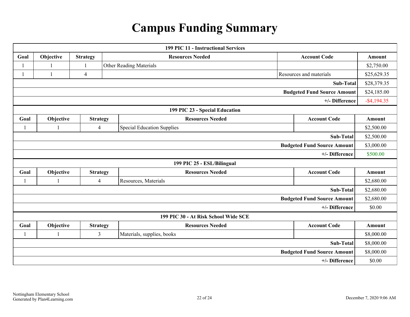# **Campus Funding Summary**

<span id="page-21-0"></span>

| <b>199 PIC 11 - Instructional Services</b> |                                      |                 |                                   |                         |               |  |  |  |  |
|--------------------------------------------|--------------------------------------|-----------------|-----------------------------------|-------------------------|---------------|--|--|--|--|
| Goal                                       | Objective                            | <b>Strategy</b> | <b>Resources Needed</b>           | <b>Account Code</b>     | Amount        |  |  |  |  |
|                                            |                                      | $\mathbf{1}$    | <b>Other Reading Materials</b>    |                         | \$2,750.00    |  |  |  |  |
| 1                                          | $\mathbf{1}$                         | $\overline{4}$  |                                   | Resources and materials | \$25,629.35   |  |  |  |  |
| <b>Sub-Total</b>                           |                                      |                 |                                   |                         |               |  |  |  |  |
| <b>Budgeted Fund Source Amount</b>         |                                      |                 |                                   |                         |               |  |  |  |  |
| +/- Difference                             |                                      |                 |                                   |                         |               |  |  |  |  |
| 199 PIC 23 - Special Education             |                                      |                 |                                   |                         |               |  |  |  |  |
| Goal                                       | Objective                            | <b>Strategy</b> | <b>Resources Needed</b>           | <b>Account Code</b>     | <b>Amount</b> |  |  |  |  |
| 1                                          |                                      | $\overline{4}$  | <b>Special Education Supplies</b> |                         | \$2,500.00    |  |  |  |  |
| <b>Sub-Total</b>                           |                                      |                 |                                   |                         | \$2,500.00    |  |  |  |  |
| <b>Budgeted Fund Source Amount</b>         |                                      |                 |                                   |                         |               |  |  |  |  |
| +/- Difference                             |                                      |                 |                                   |                         |               |  |  |  |  |
| 199 PIC 25 - ESL/Bilingual                 |                                      |                 |                                   |                         |               |  |  |  |  |
| Goal                                       | Objective                            | <b>Strategy</b> | <b>Resources Needed</b>           | <b>Account Code</b>     | Amount        |  |  |  |  |
|                                            |                                      | $\overline{4}$  | Resources, Materials              |                         | \$2,680.00    |  |  |  |  |
| <b>Sub-Total</b>                           |                                      |                 |                                   |                         |               |  |  |  |  |
| <b>Budgeted Fund Source Amount</b>         |                                      |                 |                                   |                         |               |  |  |  |  |
|                                            |                                      |                 |                                   | +/- Difference          | \$0.00        |  |  |  |  |
|                                            | 199 PIC 30 - At Risk School Wide SCE |                 |                                   |                         |               |  |  |  |  |
| Goal                                       | Objective                            | <b>Strategy</b> | <b>Resources Needed</b>           | <b>Account Code</b>     | Amount        |  |  |  |  |
|                                            |                                      | $\overline{3}$  | Materials, supplies, books        |                         | \$8,000.00    |  |  |  |  |
| <b>Sub-Total</b>                           |                                      |                 |                                   |                         |               |  |  |  |  |
| <b>Budgeted Fund Source Amount</b>         |                                      |                 |                                   |                         | \$8,000.00    |  |  |  |  |
| +/- Difference                             |                                      |                 |                                   |                         | \$0.00        |  |  |  |  |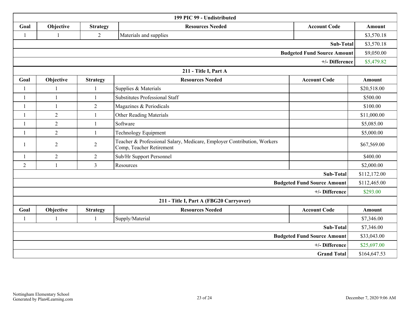| 199 PIC 99 - Undistributed              |                |                 |                                                                                                     |                                    |               |  |  |  |
|-----------------------------------------|----------------|-----------------|-----------------------------------------------------------------------------------------------------|------------------------------------|---------------|--|--|--|
| Goal                                    | Objective      | <b>Strategy</b> | <b>Resources Needed</b>                                                                             | <b>Account Code</b>                | Amount        |  |  |  |
| 1                                       |                | $\overline{2}$  | Materials and supplies                                                                              |                                    | \$3,570.18    |  |  |  |
|                                         |                |                 |                                                                                                     | <b>Sub-Total</b>                   | \$3,570.18    |  |  |  |
| <b>Budgeted Fund Source Amount</b>      |                |                 |                                                                                                     |                                    |               |  |  |  |
| +/- Difference                          |                |                 |                                                                                                     |                                    |               |  |  |  |
| 211 - Title I, Part A                   |                |                 |                                                                                                     |                                    |               |  |  |  |
| Goal                                    | Objective      | <b>Strategy</b> | <b>Resources Needed</b>                                                                             | <b>Account Code</b>                | <b>Amount</b> |  |  |  |
|                                         |                |                 | Supplies & Materials                                                                                |                                    | \$20,518.00   |  |  |  |
|                                         | $\mathbf{1}$   | 1               | <b>Substitutes Professional Staff</b>                                                               |                                    | \$500.00      |  |  |  |
|                                         | $\mathbf{1}$   | $\overline{2}$  | Magazines & Periodicals                                                                             |                                    | \$100.00      |  |  |  |
|                                         | $\overline{2}$ | $\mathbf{1}$    | <b>Other Reading Materials</b>                                                                      |                                    | \$11,000.00   |  |  |  |
|                                         | $\sqrt{2}$     | $\mathbf{1}$    | Software                                                                                            |                                    | \$5,085.00    |  |  |  |
| $\mathbf{1}$                            | $\overline{2}$ | $\mathbf{1}$    | <b>Technology Equipment</b>                                                                         |                                    | \$5,000.00    |  |  |  |
|                                         | $\overline{2}$ | $\overline{2}$  | Teacher & Professional Salary, Medicare, Employer Contribution, Workers<br>Comp, Teacher Retirement |                                    | \$67,569.00   |  |  |  |
| $\mathbf{1}$                            | $\overline{2}$ | $\overline{2}$  | Sub/Hr Support Personnel                                                                            |                                    | \$400.00      |  |  |  |
| $\overline{2}$                          | 1              | $\overline{3}$  | Resources                                                                                           |                                    | \$2,000.00    |  |  |  |
| Sub-Total                               |                |                 |                                                                                                     |                                    |               |  |  |  |
|                                         |                |                 |                                                                                                     | <b>Budgeted Fund Source Amount</b> | \$112,465.00  |  |  |  |
| +/- Difference                          |                |                 |                                                                                                     |                                    |               |  |  |  |
| 211 - Title I, Part A (FBG20 Carryover) |                |                 |                                                                                                     |                                    |               |  |  |  |
| Goal                                    | Objective      | <b>Strategy</b> | <b>Resources Needed</b>                                                                             | <b>Account Code</b>                | <b>Amount</b> |  |  |  |
|                                         | 1              | $\mathbf{1}$    | Supply/Material                                                                                     |                                    | \$7,346.00    |  |  |  |
| <b>Sub-Total</b>                        |                |                 |                                                                                                     |                                    |               |  |  |  |
| <b>Budgeted Fund Source Amount</b>      |                |                 |                                                                                                     |                                    |               |  |  |  |
| +/- Difference                          |                |                 |                                                                                                     |                                    |               |  |  |  |
| <b>Grand Total</b>                      |                |                 |                                                                                                     |                                    | \$164,647.53  |  |  |  |